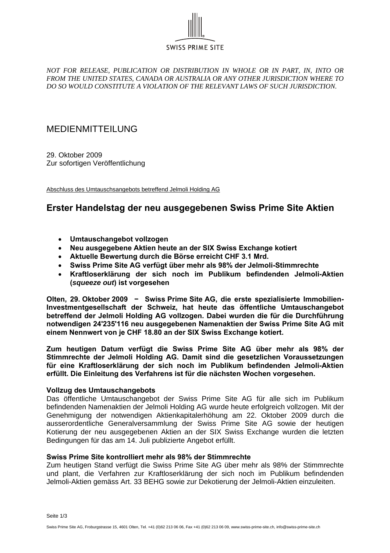

*NOT FOR RELEASE, PUBLICATION OR DISTRIBUTION IN WHOLE OR IN PART, IN, INTO OR FROM THE UNITED STATES, CANADA OR AUSTRALIA OR ANY OTHER JURISDICTION WHERE TO DO SO WOULD CONSTITUTE A VIOLATION OF THE RELEVANT LAWS OF SUCH JURISDICTION.* 

## MEDIENMITTEILUNG

29. Oktober 2009 Zur sofortigen Veröffentlichung

Abschluss des Umtauschsangebots betreffend Jelmoli Holding AG

# **Erster Handelstag der neu ausgegebenen Swiss Prime Site Aktien**

- **Umtauschangebot vollzogen**
- **Neu ausgegebene Aktien heute an der SIX Swiss Exchange kotiert**
- **Aktuelle Bewertung durch die Börse erreicht CHF 3.1 Mrd.**
- **Swiss Prime Site AG verfügt über mehr als 98% der Jelmoli-Stimmrechte**
- **Kraftloserklärung der sich noch im Publikum befindenden Jelmoli-Aktien (***squeeze out***) ist vorgesehen**

**Olten, 29. Oktober 2009 − Swiss Prime Site AG, die erste spezialisierte Immobilien-Investmentgesellschaft der Schweiz, hat heute das öffentliche Umtauschangebot betreffend der Jelmoli Holding AG vollzogen. Dabei wurden die für die Durchführung notwendigen 24'235'116 neu ausgegebenen Namenaktien der Swiss Prime Site AG mit einem Nennwert von je CHF 18.80 an der SIX Swiss Exchange kotiert.** 

**Zum heutigen Datum verfügt die Swiss Prime Site AG über mehr als 98% der Stimmrechte der Jelmoli Holding AG. Damit sind die gesetzlichen Voraussetzungen für eine Kraftloserklärung der sich noch im Publikum befindenden Jelmoli-Aktien erfüllt. Die Einleitung des Verfahrens ist für die nächsten Wochen vorgesehen.** 

## **Vollzug des Umtauschangebots**

Das öffentliche Umtauschangebot der Swiss Prime Site AG für alle sich im Publikum befindenden Namenaktien der Jelmoli Holding AG wurde heute erfolgreich vollzogen. Mit der Genehmigung der notwendigen Aktienkapitalerhöhung am 22. Oktober 2009 durch die ausserordentliche Generalversammlung der Swiss Prime Site AG sowie der heutigen Kotierung der neu ausgegebenen Aktien an der SIX Swiss Exchange wurden die letzten Bedingungen für das am 14. Juli publizierte Angebot erfüllt.

## **Swiss Prime Site kontrolliert mehr als 98% der Stimmrechte**

Zum heutigen Stand verfügt die Swiss Prime Site AG über mehr als 98% der Stimmrechte und plant, die Verfahren zur Kraftloserklärung der sich noch im Publikum befindenden Jelmoli-Aktien gemäss Art. 33 BEHG sowie zur Dekotierung der Jelmoli-Aktien einzuleiten.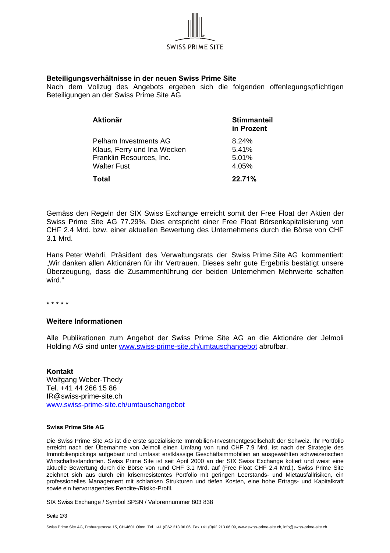

### **Beteiligungsverhältnisse in der neuen Swiss Prime Site**

Nach dem Vollzug des Angebots ergeben sich die folgenden offenlegungspflichtigen Beteiligungen an der Swiss Prime Site AG

| <b>Aktionär</b>    |                             | <b>Stimmanteil</b><br>in Prozent |
|--------------------|-----------------------------|----------------------------------|
|                    | Pelham Investments AG       | 8.24%                            |
|                    | Klaus, Ferry und Ina Wecken | 5.41%                            |
|                    | Franklin Resources, Inc.    | 5.01%                            |
| <b>Walter Fust</b> |                             | 4.05%                            |
| Total              |                             | 22.71%                           |

Gemäss den Regeln der SIX Swiss Exchange erreicht somit der Free Float der Aktien der Swiss Prime Site AG 77.29%. Dies entspricht einer Free Float Börsenkapitalisierung von CHF 2.4 Mrd. bzw. einer aktuellen Bewertung des Unternehmens durch die Börse von CHF 3.1 Mrd.

Hans Peter Wehrli, Präsident des Verwaltungsrats der Swiss Prime Site AG kommentiert: "Wir danken allen Aktionären für ihr Vertrauen. Dieses sehr gute Ergebnis bestätigt unsere Überzeugung, dass die Zusammenführung der beiden Unternehmen Mehrwerte schaffen wird."

**\* \* \* \* \*** 

## **Weitere Informationen**

Alle Publikationen zum Angebot der Swiss Prime Site AG an die Aktionäre der Jelmoli Holding AG sind unter [www.swiss-prime-site.ch/umtauschangebot](http://www.swiss-prime-site.ch/umtauschangebot) abrufbar.

**Kontakt**  Wolfgang Weber-Thedy Tel. +41 44 266 15 86 IR@swiss-prime-site.ch [www.swiss-prime-site.ch/umtauschangebot](http://www.swiss-prime-site.ch/umtauschangebot)

#### **Swiss Prime Site AG**

Die Swiss Prime Site AG ist die erste spezialisierte Immobilien-Investmentgesellschaft der Schweiz. Ihr Portfolio erreicht nach der Übernahme von Jelmoli einen Umfang von rund CHF 7.9 Mrd. ist nach der Strategie des Immobilienpickings aufgebaut und umfasst erstklassige Geschäftsimmobilien an ausgewählten schweizerischen Wirtschaftsstandorten. Swiss Prime Site ist seit April 2000 an der SIX Swiss Exchange kotiert und weist eine aktuelle Bewertung durch die Börse von rund CHF 3.1 Mrd. auf (Free Float CHF 2.4 Mrd.). Swiss Prime Site zeichnet sich aus durch ein krisenresistentes Portfolio mit geringen Leerstands- und Mietausfallrisiken, ein professionelles Management mit schlanken Strukturen und tiefen Kosten, eine hohe Ertrags- und Kapitalkraft sowie ein hervorragendes Rendite-/Risiko-Profil.

SIX Swiss Exchange / Symbol SPSN / Valorennummer 803 838

Seite 2/3

Swiss Prime Site AG, Froburgstrasse 15, CH-4601 Olten, Tel. +41 (0)62 213 06 06, Fax +41 (0)62 213 06 09, www.swiss-prime-site.ch, info@swiss-prime-site.ch